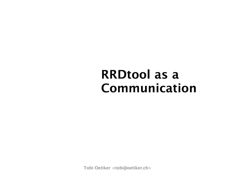#### **RRDtool as a Communication**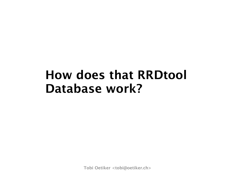#### **How does that RRDtool Database work?**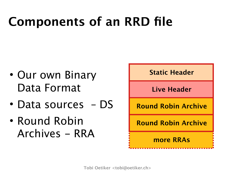# **Components of an RRD file**

- Our own Binary Data Format
- Data sources DS
- Round Robin Archives - RRA

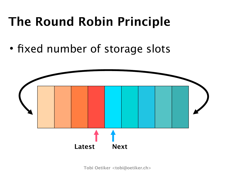# **The Round Robin Principle**

• fixed number of storage slots

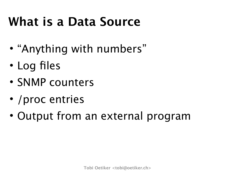#### **What is a Data Source**

- "Anything with numbers"
- Log files
- SNMP counters
- / proc entries
- Output from an external program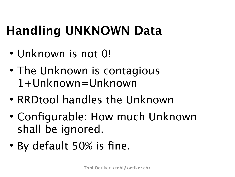# **Handling UNKNOWN Data**

- Unknown is not 0!
- The Unknown is contagious 1+Unknown=Unknown
- RRDtool handles the Unknown
- Configurable: How much Unknown shall be ignored.
- By default 50% is fine.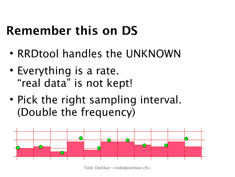# **Remember this on DS**

- RRDtool handles the UNKNOWN
- Everything is a rate. "real data" is not kept!
- Pick the right sampling interval. (Double the frequency)

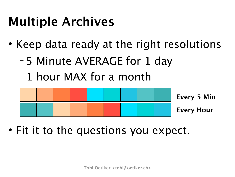# **Multiple Archives**

- Keep data ready at the right resolutions
	- − 5 Minute AVERAGE for 1 day
	- − 1 hour MAX for a month



• Fit it to the questions you expect.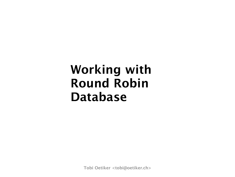#### **Working with Round Robin Database**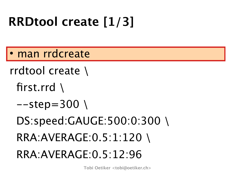# **RRDtool create [1/3]**

man rrdcreate

rrdtool create \

first.rrd \

 $-step=300$ 

DS:speed:GAUGE:500:0:300 \

RRA:AVERAGE:0.5:1:120 \

RRA:AVERAGE:0.5:12:96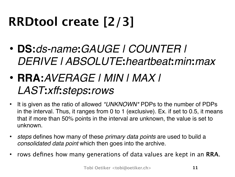# **RRDtool create [2/3]**

- **DS:***ds-name***:***GAUGE | COUNTER | DERIVE | ABSOLUTE***:***heartbeat***:***min***:***max*
- **RRA:***AVERAGE | MIN | MAX | LAST***:***xff***:***steps***:***rows*
- It is given as the ratio of allowed *\*UNKNOWN\** PDPs to the number of PDPs in the interval. Thus, it ranges from 0 to 1 (exclusive). Ex. if set to 0.5, it means that if more than 50% points in the interval are unknown, the value is set to unknown.
- *steps* defines how many of these *primary data points* are used to build a *consolidated data point* which then goes into the archive.
- rows defines how many generations of data values are kept in an **RRA**.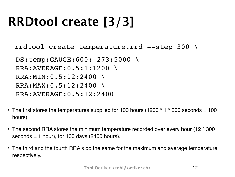# **RRDtool create [3/3]**

rrdtool create temperature.rrd --step 300 \

```
 DS:temp:GAUGE:600:-273:5000 \
RRA:AVERAGE:0.5:1:1200 \
RRA:MIN:0.5:12:2400 \
RRA:MAX:0.5:12:2400 \
RRA:AVERAGE:0.5:12:2400
```
- The first stores the temperatures supplied for 100 hours (1200  $*$  1  $*$  300 seconds = 100 hours).
- The second RRA stores the minimum temperature recorded over every hour (12 \* 300  $seconds = 1 hour$ , for 100 days (2400 hours).
- The third and the fourth RRA's do the same for the maximum and average temperature, respectively.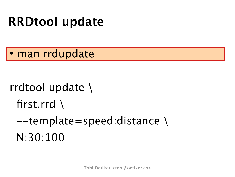#### **RRDtool update**

man rrdupdate

rrdtool update \ first.rrd  $\setminus$  $-$ template=speed:distance \ N:30:100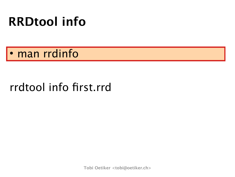#### **RRDtool info**

man rrdinfo

#### rrdtool info first.rrd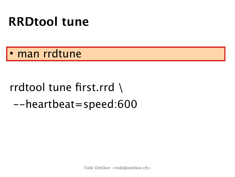#### **RRDtool tune**

· man rrdtune

#### rrdtool tune first.rrd \ --heartbeat=speed:600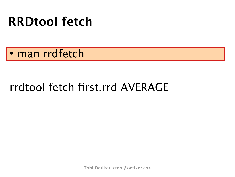#### **RRDtool fetch**

man rrdfetch

#### rrdtool fetch first.rrd AVERAGE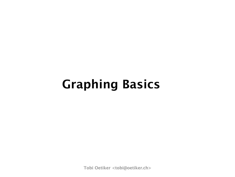#### **Graphing Basics**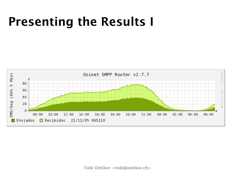#### **Presenting the Results I**

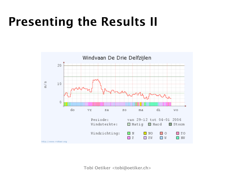#### **Presenting the Results II**

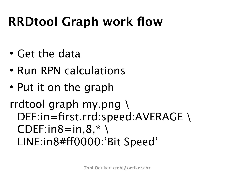# **RRDtool Graph work flow**

- Get the data
- Run RPN calculations
- Put it on the graph

#### rrdtool graph my.png \ DEF:in=first.rrd:speed:AVERAGE\  $CDF:in8=in,8,*$ LINE:in8#ff0000:'Bit Speed'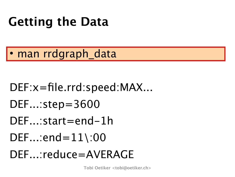# **Getting the Data**

man rrdgraph\_data

- DEF:x=file.rrd:speed:MAX...
- DEF...:step=3600
- DEF...:start=end-1h
- $DEF...$ :end= $11\backslash:00$
- DEF...:reduce=AVERAGE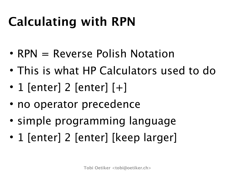# **Calculating with RPN**

- $RPN = Reverse$  Polish Notation
- This is what HP Calculators used to do
- 1 [enter] 2 [enter]  $[+]$
- no operator precedence
- simple programming language
- 1 [enter] 2 [enter] [keep larger]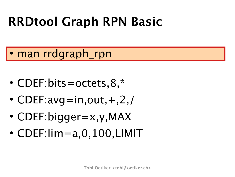# **RRDtool Graph RPN Basic**

- man rrdgraph\_rpn
- CDEF:bits=octets, 8,  $*$
- CDEF:avg=in,out,  $+, 2, /$
- CDEF:bigger=x,y,MAX
- CDEF:lim=a,0,100,LIMIT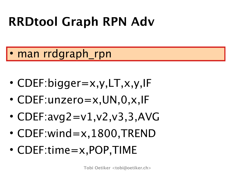# **RRDtool Graph RPN Adv**

- man rrdgraph\_rpn
	- CDEF:bigger=x,y,LT,x,y,IF
	- CDEF:unzero=x,UN,0,x,IF
	- CDEF: $avg2 = v1, v2, v3, 3, AVG$
	- CDEF:wind=x,1800,TREND
	- CDEF:time=x,POP,TIME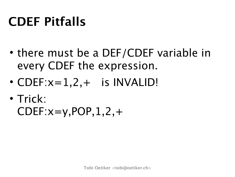# **CDEF Pitfalls**

- there must be a DEF/CDEF variable in every CDEF the expression.
- $\cdot$  CDEF: $x=1,2,+$  is INVALID!
- Trick:  $CDEF: x=y, POP, 1, 2, +$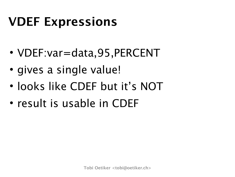#### **VDEF Expressions**

- VDEF:var=data,95,PERCENT
- gives a single value!
- looks like CDEF but it's NOT
- result is usable in CDEF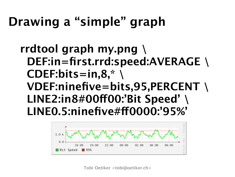#### **Drawing a "simple" graph**

#### **rrdtool graph my.png \ DEF:in=first.rrd:speed:AVERAGE \ CDEF:bits=in,8,\* \ VDEF:ninefive=bits,95,PERCENT \ LINE2:in8#00!00:'Bit Speed' \ LINE0.5:ninefive#!0000:'95%'**

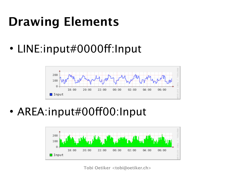# **Drawing Elements**

• LINE:input#0000ff:Input



• AREA:input#00ff00:Input

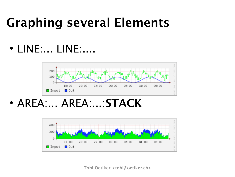#### **Graphing several Elements**

• LINE:... LINE:....



AREA:... AREA:...:**STACK**

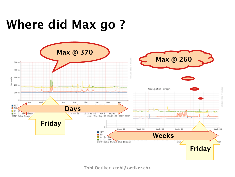#### **Where did Max go ?**

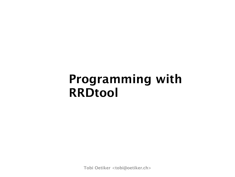#### **Programming with RRDtool**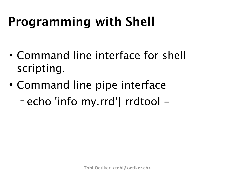# **Programming with Shell**

- Command line interface for shell scripting.
- Command line pipe interface − echo 'info my.rrd'| rrdtool -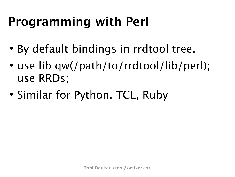# **Programming with Perl**

- By default bindings in rrdtool tree.
- use lib qw(/path/to/rrdtool/lib/perl); use RRDs;
- Similar for Python, TCL, Ruby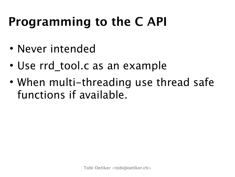#### **Programming to the C API**

- Never intended
- Use rrd tool.c as an example
- When multi-threading use thread safe functions if available.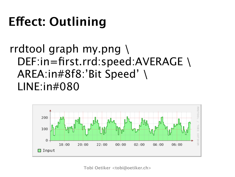# **E!ect: Outlining**

#### rrdtool graph my.png \ DEF:in=first.rrd:speed:AVERAGE\ AREA:in#8f8:'Bit Speed' \ LINE:in#080

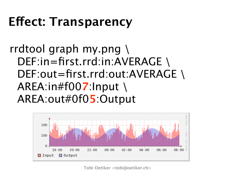#### **E!ect: Transparency**

rrdtool graph my.png \ DEF:in=first.rrd:in:AVERAGE\ DEF:out=first.rrd:out:AVERAGE \ AREA:in#f00**7**:Input \ AREA:out#0f0**5**:Output

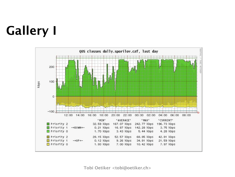# **Gallery I**

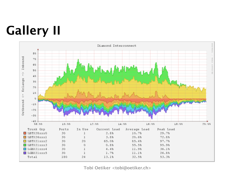# **Gallery II**

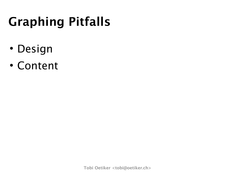# **Graphing Pitfalls**

- Design
- Content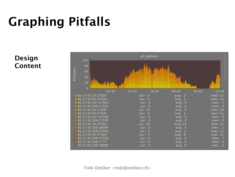# **Graphing Pitfalls**

#### **Design Content**

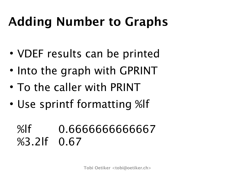# **Adding Number to Graphs**

- VDEF results can be printed
- Into the graph with GPRINT
- To the caller with PRINT
- Use sprintf formatting %lf

#### %lf 0.6666666666667 %3.2lf 0.67